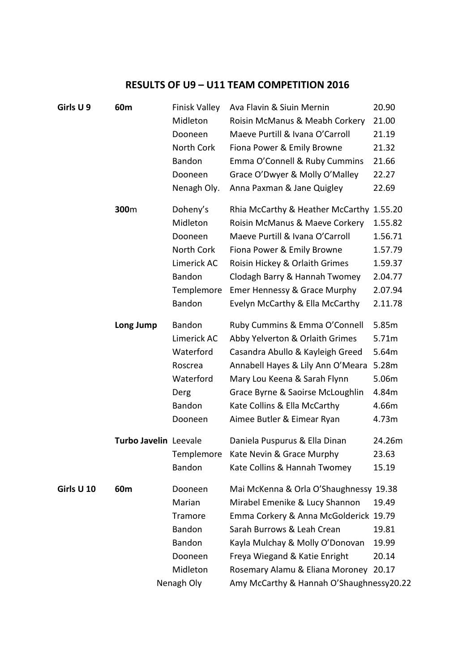## **RESULTS OF U9 – U11 TEAM COMPETITION 2016**

| Girls U9   | 60m                   | <b>Finisk Valley</b> | Ava Flavin & Siuin Mernin                | 20.90   |
|------------|-----------------------|----------------------|------------------------------------------|---------|
|            |                       | Midleton             | Roisin McManus & Meabh Corkery           | 21.00   |
|            |                       | Dooneen              | Maeve Purtill & Ivana O'Carroll          | 21.19   |
|            |                       | North Cork           | Fiona Power & Emily Browne               | 21.32   |
|            |                       | Bandon               | Emma O'Connell & Ruby Cummins            | 21.66   |
|            |                       | Dooneen              | Grace O'Dwyer & Molly O'Malley           | 22.27   |
|            |                       | Nenagh Oly.          | Anna Paxman & Jane Quigley               | 22.69   |
|            | 300m                  | Doheny's             | Rhia McCarthy & Heather McCarthy 1.55.20 |         |
|            |                       | Midleton             | Roisin McManus & Maeve Corkery           | 1.55.82 |
|            |                       | Dooneen              | Maeve Purtill & Ivana O'Carroll          | 1.56.71 |
|            |                       | North Cork           | Fiona Power & Emily Browne               | 1.57.79 |
|            |                       | Limerick AC          | Roisin Hickey & Orlaith Grimes           | 1.59.37 |
|            |                       | Bandon               | Clodagh Barry & Hannah Twomey            | 2.04.77 |
|            |                       | Templemore           | Emer Hennessy & Grace Murphy             | 2.07.94 |
|            |                       | Bandon               | Evelyn McCarthy & Ella McCarthy          | 2.11.78 |
|            | Long Jump             | <b>Bandon</b>        | Ruby Cummins & Emma O'Connell            | 5.85m   |
|            |                       | Limerick AC          | Abby Yelverton & Orlaith Grimes          | 5.71m   |
|            |                       | Waterford            | Casandra Abullo & Kayleigh Greed         | 5.64m   |
|            |                       | Roscrea              | Annabell Hayes & Lily Ann O'Meara        | 5.28m   |
|            |                       | Waterford            | Mary Lou Keena & Sarah Flynn             | 5.06m   |
|            |                       | Derg                 | Grace Byrne & Saoirse McLoughlin         | 4.84m   |
|            |                       | Bandon               | Kate Collins & Ella McCarthy             | 4.66m   |
|            |                       | Dooneen              | Aimee Butler & Eimear Ryan               | 4.73m   |
|            | Turbo Javelin Leevale |                      | Daniela Puspurus & Ella Dinan            | 24.26m  |
|            |                       | Templemore           | Kate Nevin & Grace Murphy                | 23.63   |
|            |                       | <b>Bandon</b>        | Kate Collins & Hannah Twomey             | 15.19   |
| Girls U 10 | 60 <sub>m</sub>       | Dooneen              | Mai McKenna & Orla O'Shaughnessy 19.38   |         |
|            |                       | Marian               | Mirabel Emenike & Lucy Shannon           | 19.49   |
|            |                       | Tramore              | Emma Corkery & Anna McGolderick 19.79    |         |
|            |                       | <b>Bandon</b>        | Sarah Burrows & Leah Crean               | 19.81   |
|            |                       | Bandon               | Kayla Mulchay & Molly O'Donovan          | 19.99   |
|            |                       | Dooneen              | Freya Wiegand & Katie Enright            | 20.14   |
|            |                       | Midleton             | Rosemary Alamu & Eliana Moroney 20.17    |         |
|            |                       | Nenagh Oly           | Amy McCarthy & Hannah O'Shaughnessy20.22 |         |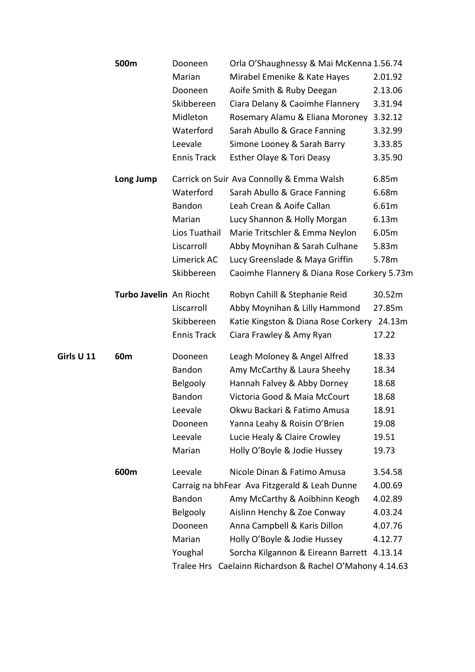| 500m       |                         | Dooneen            | Orla O'Shaughnessy & Mai McKenna 1.56.74      |         |
|------------|-------------------------|--------------------|-----------------------------------------------|---------|
|            |                         | Marian             | Mirabel Emenike & Kate Hayes                  | 2.01.92 |
|            |                         | Dooneen            | Aoife Smith & Ruby Deegan                     | 2.13.06 |
|            |                         | Skibbereen         | Ciara Delany & Caoimhe Flannery               | 3.31.94 |
|            |                         | Midleton           | Rosemary Alamu & Eliana Moroney               | 3.32.12 |
|            |                         | Waterford          | Sarah Abullo & Grace Fanning                  | 3.32.99 |
|            |                         | Leevale            | Simone Looney & Sarah Barry                   | 3.33.85 |
|            |                         | <b>Ennis Track</b> | Esther Olaye & Tori Deasy                     | 3.35.90 |
|            | Long Jump               |                    | Carrick on Suir Ava Connolly & Emma Walsh     | 6.85m   |
|            |                         | Waterford          | Sarah Abullo & Grace Fanning                  | 6.68m   |
|            |                         | Bandon             | Leah Crean & Aoife Callan                     | 6.61m   |
|            |                         | Marian             | Lucy Shannon & Holly Morgan                   | 6.13m   |
|            |                         | Lios Tuathail      | Marie Tritschler & Emma Neylon                | 6.05m   |
|            |                         | Liscarroll         | Abby Moynihan & Sarah Culhane                 | 5.83m   |
|            |                         | Limerick AC        | Lucy Greenslade & Maya Griffin                | 5.78m   |
|            |                         | Skibbereen         | Caoimhe Flannery & Diana Rose Corkery 5.73m   |         |
|            | Turbo Javelin An Riocht |                    | Robyn Cahill & Stephanie Reid                 | 30.52m  |
|            |                         | Liscarroll         | Abby Moynihan & Lilly Hammond                 | 27.85m  |
|            |                         | Skibbereen         | Katie Kingston & Diana Rose Corkery 24.13m    |         |
|            |                         | <b>Ennis Track</b> | Ciara Frawley & Amy Ryan                      | 17.22   |
| Girls U 11 | 60m                     | Dooneen            | Leagh Moloney & Angel Alfred                  | 18.33   |
|            |                         | Bandon             | Amy McCarthy & Laura Sheehy                   | 18.34   |
|            |                         | Belgooly           | Hannah Falvey & Abby Dorney                   | 18.68   |
|            |                         | Bandon             | Victoria Good & Maia McCourt                  | 18.68   |
|            |                         | Leevale            | Okwu Backari & Fatimo Amusa                   | 18.91   |
|            |                         | Dooneen            | Yanna Leahy & Roisin O'Brien                  | 19.08   |
|            |                         | Leevale            | Lucie Healy & Claire Crowley                  | 19.51   |
|            |                         | Marian             | Holly O'Boyle & Jodie Hussey                  | 19.73   |
|            | 600m                    | Leevale            | Nicole Dinan & Fatimo Amusa                   | 3.54.58 |
|            |                         |                    | Carraig na bhFear Ava Fitzgerald & Leah Dunne | 4.00.69 |
|            |                         | Bandon             | Amy McCarthy & Aoibhinn Keogh                 | 4.02.89 |
|            |                         | Belgooly           | Aislinn Henchy & Zoe Conway                   | 4.03.24 |
|            |                         | Dooneen            | Anna Campbell & Karis Dillon                  | 4.07.76 |
|            |                         | Marian             | Holly O'Boyle & Jodie Hussey                  | 4.12.77 |
|            |                         | Youghal            | Sorcha Kilgannon & Eireann Barrett 4.13.14    |         |
|            |                         | Tralee Hrs         | Caelainn Richardson & Rachel O'Mahony 4.14.63 |         |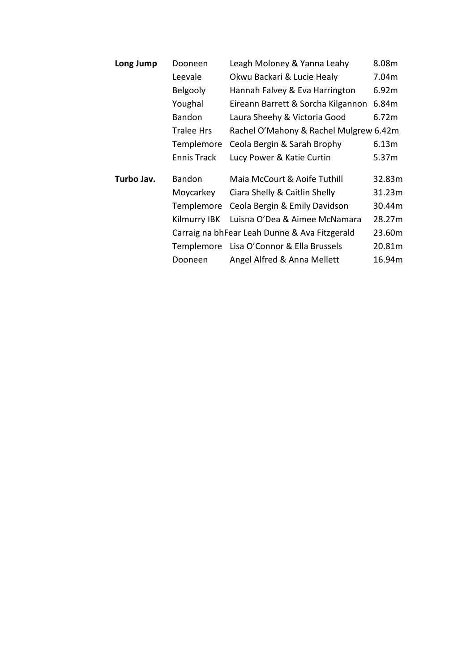| Long Jump  | Dooneen            | Leagh Moloney & Yanna Leahy                   | 8.08m  |
|------------|--------------------|-----------------------------------------------|--------|
|            | Leevale            | Okwu Backari & Lucie Healy                    | 7.04m  |
|            | Belgooly           | Hannah Falvey & Eva Harrington                | 6.92m  |
|            | Youghal            | Eireann Barrett & Sorcha Kilgannon            | 6.84m  |
|            | <b>Bandon</b>      | Laura Sheehy & Victoria Good                  | 6.72m  |
|            | <b>Tralee Hrs</b>  | Rachel O'Mahony & Rachel Mulgrew 6.42m        |        |
|            | Templemore         | Ceola Bergin & Sarah Brophy                   | 6.13m  |
|            | <b>Ennis Track</b> | Lucy Power & Katie Curtin                     | 5.37m  |
| Turbo Jav. | Bandon             | Maia McCourt & Aoife Tuthill                  | 32.83m |
|            | Moycarkey          | Ciara Shelly & Caitlin Shelly                 | 31.23m |
|            | Templemore         | Ceola Bergin & Emily Davidson                 | 30.44m |
|            | Kilmurry IBK       | Luisna O'Dea & Aimee McNamara                 | 28.27m |
|            |                    | Carraig na bhFear Leah Dunne & Ava Fitzgerald | 23.60m |
|            | Templemore         | Lisa O'Connor & Ella Brussels                 | 20.81m |
|            | Dooneen            | Angel Alfred & Anna Mellett                   | 16.94m |
|            |                    |                                               |        |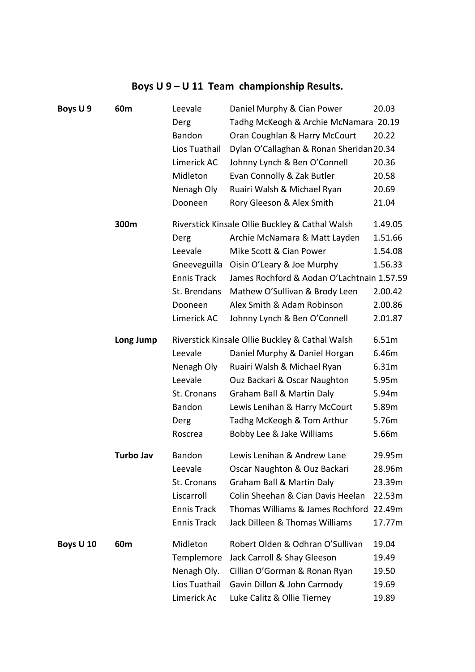## **Boys U 9 – U 11 Team championship Results.**

| Boys U9   | 60m              | Leevale            | Daniel Murphy & Cian Power                      | 20.03   |
|-----------|------------------|--------------------|-------------------------------------------------|---------|
|           |                  | Derg               | Tadhg McKeogh & Archie McNamara 20.19           |         |
|           |                  | Bandon             | Oran Coughlan & Harry McCourt                   | 20.22   |
|           |                  | Lios Tuathail      | Dylan O'Callaghan & Ronan Sheridan 20.34        |         |
|           |                  | Limerick AC        | Johnny Lynch & Ben O'Connell                    | 20.36   |
|           |                  | Midleton           | Evan Connolly & Zak Butler                      | 20.58   |
|           |                  | Nenagh Oly         | Ruairi Walsh & Michael Ryan                     | 20.69   |
|           |                  | Dooneen            | Rory Gleeson & Alex Smith                       | 21.04   |
|           | 300m             |                    | Riverstick Kinsale Ollie Buckley & Cathal Walsh | 1.49.05 |
|           |                  | Derg               | Archie McNamara & Matt Layden                   | 1.51.66 |
|           |                  | Leevale            | Mike Scott & Cian Power                         | 1.54.08 |
|           |                  | Gneeveguilla       | Oisin O'Leary & Joe Murphy                      | 1.56.33 |
|           |                  | <b>Ennis Track</b> | James Rochford & Aodan O'Lachtnain 1.57.59      |         |
|           |                  | St. Brendans       | Mathew O'Sullivan & Brody Leen                  | 2.00.42 |
|           |                  | Dooneen            | Alex Smith & Adam Robinson                      | 2.00.86 |
|           |                  | Limerick AC        | Johnny Lynch & Ben O'Connell                    | 2.01.87 |
|           | Long Jump        |                    | Riverstick Kinsale Ollie Buckley & Cathal Walsh | 6.51m   |
|           |                  | Leevale            | Daniel Murphy & Daniel Horgan                   | 6.46m   |
|           |                  | Nenagh Oly         | Ruairi Walsh & Michael Ryan                     | 6.31m   |
|           |                  | Leevale            | Ouz Backari & Oscar Naughton                    | 5.95m   |
|           |                  | St. Cronans        | Graham Ball & Martin Daly                       | 5.94m   |
|           |                  | Bandon             | Lewis Lenihan & Harry McCourt                   | 5.89m   |
|           |                  | Derg               | Tadhg McKeogh & Tom Arthur                      | 5.76m   |
|           |                  | Roscrea            | Bobby Lee & Jake Williams                       | 5.66m   |
|           | <b>Turbo Jav</b> | <b>Bandon</b>      | Lewis Lenihan & Andrew Lane                     | 29.95m  |
|           |                  | Leevale            | Oscar Naughton & Ouz Backari                    | 28.96m  |
|           |                  | St. Cronans        | Graham Ball & Martin Daly                       | 23.39m  |
|           |                  | Liscarroll         | Colin Sheehan & Cian Davis Heelan               | 22.53m  |
|           |                  | <b>Ennis Track</b> | Thomas Williams & James Rochford                | 22.49m  |
|           |                  | <b>Ennis Track</b> | Jack Dilleen & Thomas Williams                  | 17.77m  |
| Boys U 10 | 60m              | Midleton           | Robert Olden & Odhran O'Sullivan                | 19.04   |
|           |                  | Templemore         | Jack Carroll & Shay Gleeson                     | 19.49   |
|           |                  | Nenagh Oly.        | Cillian O'Gorman & Ronan Ryan                   | 19.50   |
|           |                  | Lios Tuathail      | Gavin Dillon & John Carmody                     | 19.69   |
|           |                  | Limerick Ac        | Luke Calitz & Ollie Tierney                     | 19.89   |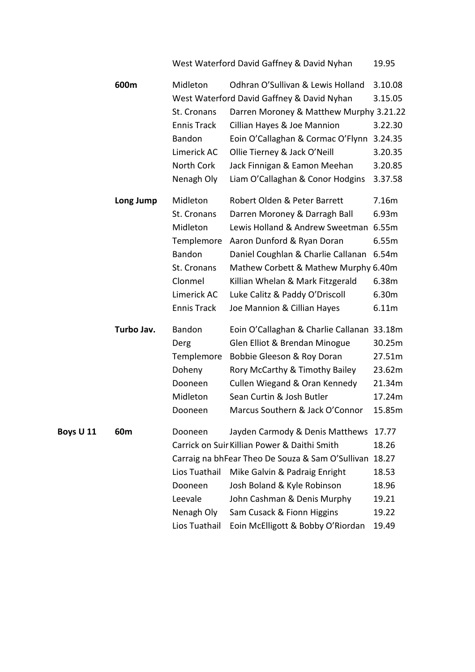West Waterford David Gaffney & David Nyhan 19.95

|           | 600m       | Midleton                                               | Odhran O'Sullivan & Lewis Holland                | 3.10.08 |
|-----------|------------|--------------------------------------------------------|--------------------------------------------------|---------|
|           |            |                                                        | West Waterford David Gaffney & David Nyhan       | 3.15.05 |
|           |            | St. Cronans<br>Darren Moroney & Matthew Murphy 3.21.22 |                                                  |         |
|           |            | <b>Ennis Track</b>                                     | Cillian Hayes & Joe Mannion                      | 3.22.30 |
|           |            | Bandon                                                 | Eoin O'Callaghan & Cormac O'Flynn                | 3.24.35 |
|           |            | Limerick AC                                            | Ollie Tierney & Jack O'Neill                     | 3.20.35 |
|           |            | North Cork                                             | Jack Finnigan & Eamon Meehan                     | 3.20.85 |
|           |            | Nenagh Oly                                             | Liam O'Callaghan & Conor Hodgins                 | 3.37.58 |
|           | Long Jump  | Midleton                                               | Robert Olden & Peter Barrett                     | 7.16m   |
|           |            | St. Cronans                                            | Darren Moroney & Darragh Ball                    | 6.93m   |
|           |            | Midleton                                               | Lewis Holland & Andrew Sweetman                  | 6.55m   |
|           |            | Templemore                                             | Aaron Dunford & Ryan Doran                       | 6.55m   |
|           |            | Bandon                                                 | Daniel Coughlan & Charlie Callanan               | 6.54m   |
|           |            | St. Cronans                                            | Mathew Corbett & Mathew Murphy 6.40m             |         |
|           |            | Clonmel                                                | Killian Whelan & Mark Fitzgerald                 | 6.38m   |
|           |            | Limerick AC                                            | Luke Calitz & Paddy O'Driscoll                   | 6.30m   |
|           |            | <b>Ennis Track</b>                                     | Joe Mannion & Cillian Hayes                      | 6.11m   |
|           | Turbo Jav. | Bandon                                                 | Eoin O'Callaghan & Charlie Callanan 33.18m       |         |
|           |            | Derg                                                   | Glen Elliot & Brendan Minogue                    | 30.25m  |
|           |            | Templemore                                             | Bobbie Gleeson & Roy Doran                       | 27.51m  |
|           |            | Doheny                                                 | Rory McCarthy & Timothy Bailey                   | 23.62m  |
|           |            | Dooneen                                                | Cullen Wiegand & Oran Kennedy                    | 21.34m  |
|           |            | Midleton                                               | Sean Curtin & Josh Butler                        | 17.24m  |
|           |            | Dooneen                                                | Marcus Southern & Jack O'Connor                  | 15.85m  |
| Boys U 11 | 60m        | Dooneen                                                | Jayden Carmody & Denis Matthews                  | 17.77   |
|           |            |                                                        | Carrick on Suir Killian Power & Daithi Smith     | 18.26   |
|           |            |                                                        | Carraig na bhFear Theo De Souza & Sam O'Sullivan | 18.27   |
|           |            | Lios Tuathail                                          | Mike Galvin & Padraig Enright                    | 18.53   |
|           |            | Dooneen                                                | Josh Boland & Kyle Robinson                      | 18.96   |
|           |            | Leevale                                                | John Cashman & Denis Murphy                      | 19.21   |
|           |            | Nenagh Oly                                             | Sam Cusack & Fionn Higgins                       | 19.22   |
|           |            | Lios Tuathail                                          | Eoin McElligott & Bobby O'Riordan                | 19.49   |